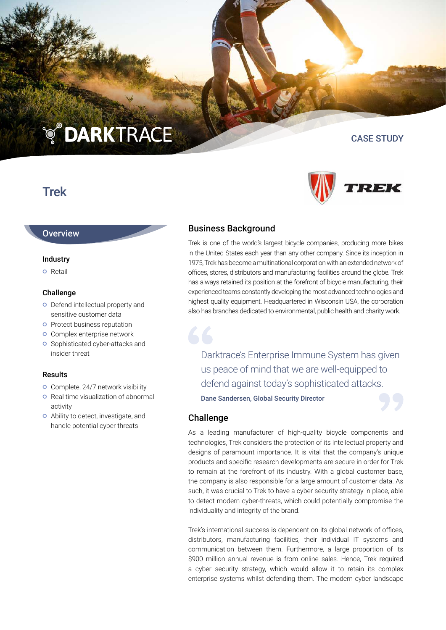# **TO DARKTRACE**

## Trek

#### **Overview**

#### Industry

**o** Retail

#### Challenge

- **O** Defend intellectual property and sensitive customer data
- **o** Protect business reputation
- **o** Complex enterprise network
- **o** Sophisticated cyber-attacks and insider threat

#### Results

- **o** Complete, 24/7 network visibility
- **o** Real time visualization of abnormal activity
- Ability to detect, investigate, and handle potential cyber threats

#### Business Background

Trek is one of the world's largest bicycle companies, producing more bikes in the United States each year than any other company. Since its inception in 1975, Trek has become a multinational corporation with an extended network of offices, stores, distributors and manufacturing facilities around the globe. Trek has always retained its position at the forefront of bicycle manufacturing, their experienced teams constantly developing the most advanced technologies and highest quality equipment. Headquartered in Wisconsin USA, the corporation also has branches dedicated to environmental, public health and charity work.

Darktrace's Enterprise Immune System has given us peace of mind that we are well-equipped to defend against today's sophisticated attacks.

Dane Sandersen, Global Security Director

#### Challenge

As a leading manufacturer of high-quality bicycle components and technologies, Trek considers the protection of its intellectual property and designs of paramount importance. It is vital that the company's unique products and specific research developments are secure in order for Trek to remain at the forefront of its industry. With a global customer base, the company is also responsible for a large amount of customer data. As such, it was crucial to Trek to have a cyber security strategy in place, able to detect modern cyber-threats, which could potentially compromise the individuality and integrity of the brand.

Trek's international success is dependent on its global network of offices, distributors, manufacturing facilities, their individual IT systems and communication between them. Furthermore, a large proportion of its \$900 million annual revenue is from online sales. Hence, Trek required a cyber security strategy, which would allow it to retain its complex enterprise systems whilst defending them. The modern cyber landscape



CASE STUDY